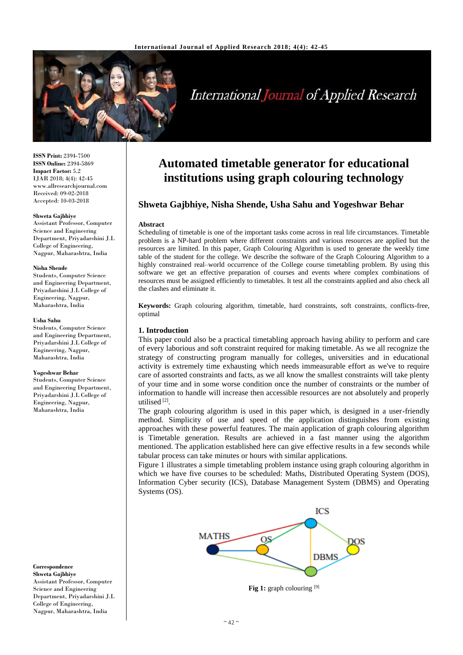

# **International Journal of Applied Research**

**ISSN Print:** 2394-7500 **ISSN Online:** 2394-5869 **Impact Factor:** 5.2 IJAR 2018; 4(4): 42-45 www.allresearchjournal.com Received: 09-02-2018 Accepted: 10-03-2018

#### **Shweta Gajbhiye**

Assistant Professor, Computer Science and Engineering Department, Priyadarshini J.L College of Engineering, Nagpur, Maharashtra, India

#### **Nisha Shende**

Students, Computer Science and Engineering Department, Priyadarshini J.L College of Engineering, Nagpur, Maharashtra, India

#### **Usha Sahu**

Students, Computer Science and Engineering Department, Priyadarshini J.L College of Engineering, Nagpur, Maharashtra, India

#### **Yogeshwar Behar**

Students, Computer Science and Engineering Department, Priyadarshini J.L College of Engineering, Nagpur, Maharashtra, India

**Correspondence Shweta Gajbhiye** Assistant Professor, Computer Science and Engineering Department, Priyadarshini J.L College of Engineering, Nagpur, Maharashtra, India

# **Automated timetable generator for educational institutions using graph colouring technology**

# **Shweta Gajbhiye, Nisha Shende, Usha Sahu and Yogeshwar Behar**

#### **Abstract**

Scheduling of timetable is one of the important tasks come across in real life circumstances. Timetable problem is a NP-hard problem where different constraints and various resources are applied but the resources are limited. In this paper, Graph Colouring Algorithm is used to generate the weekly time table of the student for the college. We describe the software of the Graph Colouring Algorithm to a highly constrained real–world occurrence of the College course timetabling problem. By using this software we get an effective preparation of courses and events where complex combinations of resources must be assigned efficiently to timetables. It test all the constraints applied and also check all the clashes and eliminate it.

**Keywords:** Graph colouring algorithm, timetable, hard constraints, soft constraints, conflicts-free, optimal

# **1. Introduction**

This paper could also be a practical timetabling approach having ability to perform and care of every laborious and soft constraint required for making timetable. As we all recognize the strategy of constructing program manually for colleges, universities and in educational activity is extremely time exhausting which needs immeasurable effort as we've to require care of assorted constraints and facts, as we all know the smallest constraints will take plenty of your time and in some worse condition once the number of constraints or the number of information to handle will increase then accessible resources are not absolutely and properly utilised<sup>[2]</sup>.

The graph colouring algorithm is used in this paper which, is designed in a user-friendly method. Simplicity of use and speed of the application distinguishes from existing approaches with these powerful features. The main application of graph colouring algorithm is Timetable generation. Results are achieved in a fast manner using the algorithm mentioned. The application established here can give effective results in a few seconds while tabular process can take minutes or hours with similar applications.

Figure 1 illustrates a simple timetabling problem instance using graph colouring algorithm in which we have five courses to be scheduled: Maths, Distributed Operating System (DOS), Information Cyber security (ICS), Database Management System (DBMS) and Operating Systems (OS).



Fig 1: graph colouring [9]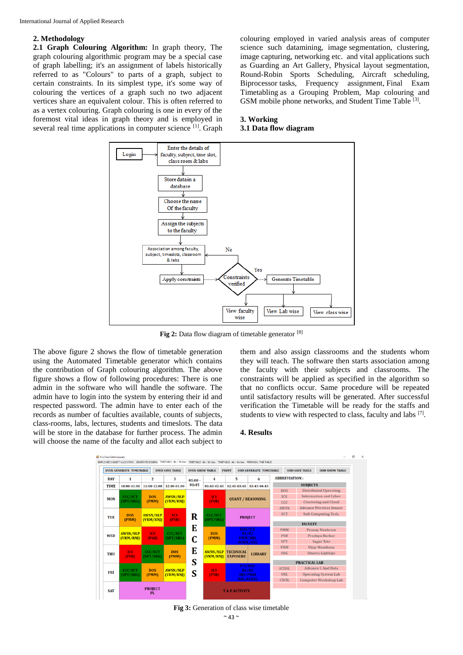# **2. Methodology**

**2.1 Graph Colouring Algorithm:** In graph theory, The graph colouring algorithmic program may be a special case of graph labelling; it's an assignment of labels historically referred to as "Colours" to parts of a graph, subject to certain constraints. In its simplest type, it's some way of colouring the vertices of a graph such no two adjacent vertices share an equivalent colour. This is often referred to as a vertex colouring. Graph colouring is one in every of the foremost vital ideas in graph theory and is employed in several real time applications in computer science [1]. Graph colouring employed in varied analysis areas of computer science such datamining, image segmentation, clustering, image capturing, networking etc. and vital applications such as Guarding an Art Gallery, Physical layout segmentation, Round-Robin Sports Scheduling, Aircraft scheduling, Biprocessor tasks, Frequency assignment, Final Exam Timetabling as a Grouping Problem, Map colouring and GSM mobile phone networks, and Student Time Table [3].

## **3. Working 3.1 Data flow diagram**



Fig 2: Data flow diagram of timetable generator [8]

The above figure 2 shows the flow of timetable generation using the Automated Timetable generator which contains the contribution of Graph colouring algorithm. The above figure shows a flow of following procedures: There is one admin in the software who will handle the software. The admin have to login into the system by entering their id and respected password. The admin have to enter each of the records as number of faculties available, counts of subjects, class-rooms, labs, lectures, students and timeslots. The data will be store in the database for further process. The admin will choose the name of the faculty and allot each subject to

them and also assign classrooms and the students whom they will teach. The software then starts association among the faculty with their subjects and classrooms. The constraints will be applied as specified in the algorithm so that no conflicts occur. Same procedure will be repeated until satisfactory results will be generated. After successful verification the Timetable will be ready for the staffs and students to view with respected to class, faculty and labs  $[7]$ .

### **4. Results**



**Fig 3:** Generation of class wise timetable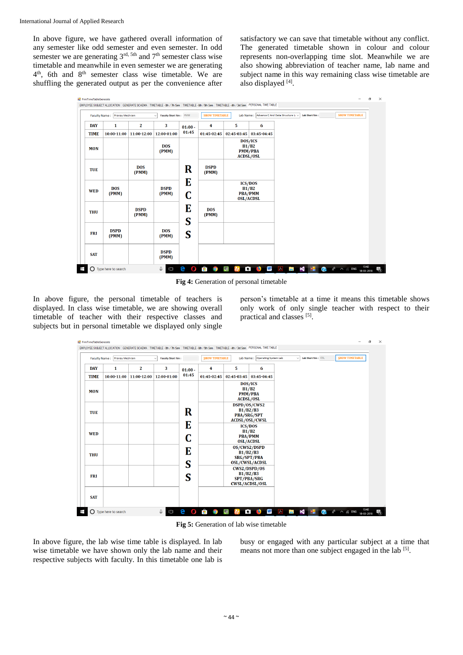In above figure, we have gathered overall information of any semester like odd semester and even semester. In odd semester we are generating  $3<sup>rd, 5th</sup>$  and  $7<sup>th</sup>$  semester class wise timetable and meanwhile in even semester we are generating 4<sup>th</sup>, 6th and 8<sup>th</sup> semester class wise timetable. We are shuffling the generated output as per the convenience after

satisfactory we can save that timetable without any conflict. The generated timetable shown in colour and colour represents non-overlapping time slot. Meanwhile we are also showing abbreviation of teacher name, lab name and subject name in this way remaining class wise timetable are also displayed [4].

| Faculty Name: Pranay Meshram |                               |                      | Faculty Short Nm: PMM<br>$\checkmark$ |                | <b>SHOW TIMETABLE</b> |             | Lab Name : Advance C And Data Structure Li ~           |  | Lab Short Nm: | <b>SHOW TIMETABLE</b>                                            |  |
|------------------------------|-------------------------------|----------------------|---------------------------------------|----------------|-----------------------|-------------|--------------------------------------------------------|--|---------------|------------------------------------------------------------------|--|
| <b>DAY</b>                   | 1                             | $\mathbf{2}$         | 3                                     | $01:00 -$      | 4                     | 5           | 6                                                      |  |               |                                                                  |  |
| <b>TIME</b>                  | 10:00-11:00                   | 11:00-12:00          | 12:00-01:00                           | 01:45          | 01:45-02:45           | 02:45-03:45 | 03:45-04:45                                            |  |               |                                                                  |  |
| <b>MON</b>                   |                               |                      | <b>DOS</b><br>(PMM)                   |                |                       |             | DOS/ICS<br>B1/B2<br><b>PMM/PBA</b><br><b>ACDSL/OSL</b> |  |               |                                                                  |  |
| <b>TUE</b>                   |                               | <b>DOS</b><br>(PMM)  |                                       | $\bf R$        | <b>DSPD</b><br>(PMM)  |             |                                                        |  |               |                                                                  |  |
| <b>WED</b>                   | <b>DOS</b><br>(PMM)           |                      | <b>DSPD</b><br>(PMM)                  | E<br>C         |                       |             | <b>ICS/DOS</b><br>B1/B2<br>PBA/PMM<br><b>OSL/ACDSL</b> |  |               |                                                                  |  |
| <b>THU</b>                   |                               | <b>DSPD</b><br>(PMM) |                                       | E<br>S         | <b>DOS</b><br>(PMM)   |             |                                                        |  |               |                                                                  |  |
| <b>FRI</b>                   | <b>DSPD</b><br>(PMM)          |                      | <b>DOS</b><br>(PMM)                   | S              |                       |             |                                                        |  |               |                                                                  |  |
| <b>SAT</b>                   |                               |                      | <b>DSPD</b><br>(PMM)                  |                |                       |             |                                                        |  |               |                                                                  |  |
|                              | $\bigcap$ Type here to search |                      | Q.<br>$\Box$                          | $\bullet$<br>e | $\bullet$ 0 0 2       |             |                                                        |  |               | <b>D W A B C C</b> $x^8$ $\sim$ $6$ <b>ENG</b> $13.42$ <b>ED</b> |  |

**Fig 4:** Generation of personal timetable

In above figure, the personal timetable of teachers is displayed. In class wise timetable, we are showing overall timetable of teacher with their respective classes and subjects but in personal timetable we displayed only single person's timetable at a time it means this timetable shows only work of only single teacher with respect to their practical and classes [5].

| Faculty Name: Pranay Meshram<br><b>Faculty Short Nm:</b> |                 |              |             |           | <b>SHOW TIMETABLE</b> |                                                                         | Lab Name: Operating System Lab |  | Lab Short Nm: OSL | <b>SHOW TIMETABLE</b> |
|----------------------------------------------------------|-----------------|--------------|-------------|-----------|-----------------------|-------------------------------------------------------------------------|--------------------------------|--|-------------------|-----------------------|
| <b>DAY</b>                                               | 1               | $\mathbf{z}$ | 3           | $01:00 -$ | 4                     | 5                                                                       | 6                              |  |                   |                       |
| <b>TIME</b>                                              | $10:00 - 11:00$ | 11:00-12:00  | 12:00-01:00 | 01:45     | 01:45-02:45           | 02:45-03:45                                                             | 03:45-04:45                    |  |                   |                       |
| <b>MON</b>                                               |                 |              |             |           |                       | DOS/ICS<br>B1/B2<br><b>PMM/PBA</b><br><b>ACDSL/OSL</b>                  |                                |  |                   |                       |
| <b>TUE</b>                                               |                 |              |             | R         |                       | DSPD/0S/CWS2<br>B1/B2/B3<br><b>PBA/SRG/SPT</b><br><b>ACDSL/OSL/CWSL</b> |                                |  |                   |                       |
| <b>WED</b>                                               |                 |              |             | E<br>C    |                       | <b>ICS/DOS</b><br>B1/B2<br>PBA/PMM<br><b>OSL/ACDSL</b>                  |                                |  |                   |                       |
| <b>THU</b>                                               |                 |              |             | E<br>S    |                       | OS/CWS2/DSPD<br>B1/B2/B3<br><b>SRG/SPT/PBA</b><br><b>OSL/CWSL/ACDSL</b> |                                |  |                   |                       |
| <b>FRI</b>                                               |                 |              |             | S         |                       | CWS2/DSPD/OS<br>B1/B2/B3<br><b>SPT/PBA/SRG</b><br><b>CWSL/ACDSL/OSL</b> |                                |  |                   |                       |
| <b>SAT</b>                                               |                 |              |             |           |                       |                                                                         |                                |  |                   |                       |

**Fig 5:** Generation of lab wise timetable

In above figure, the lab wise time table is displayed. In lab wise timetable we have shown only the lab name and their respective subjects with faculty. In this timetable one lab is busy or engaged with any particular subject at a time that means not more than one subject engaged in the lab [5].